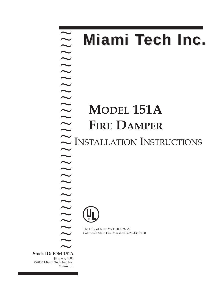**Stock ID: IOM-151A** January, 2003 ©2003 Miami Tech Inc, Inc. Miami, FL ~ ? ? ? ? ? ? ? ? ? ? ? ? ? ? ? ? ? ? ? ? ? ? ? ?? ? ?? ? ? ?? ? ? ?  $\sum_{\text{A-151A}}$ 

# **Miami Tech Inc.**

# **MODEL 151A FIRE DAMPER** INSTALLATION INSTRUCTIONS



The City of New York 909-89-SM California State Fire Marshall 3225-1382:100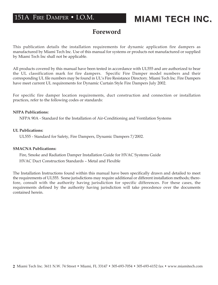## 151A FIRE DAMPER • I.O.M.

## **MIAMI TECH INC. MIAMI TECH INC.**

## **Foreword**

This publication details the installation requirements for dynamic application fire dampers as manufactured by Miami Tech Inc. Use of this manual for systems or products not manufactured or supplied by Miami Tech Inc shall not be applicable.

All products covered by this manual have been tested in accordance with UL555 and are authorized to bear the UL classification mark for fire dampers. Specific Fire Damper model numbers and their corresponding UL file numbers may be found in UL's Fire Resistance Directory. Miami Tech Inc. Fire Dampers have meet current UL requirements for Dynamic Curtain Style Fire Dampers July 2002.

For specific fire damper location requirements, duct construction and connection or installation practices, refer to the following codes or standards:

#### **NFPA Publications:**

NFPA 90A - Standard for the Installation of Air-Conditioning and Ventilation Systems

#### **UL Publications:**

UL555 - Standard for Safety, Fire Dampers, Dynamic Dampers 7/2002.

#### **SMACNA Publications:**

Fire, Smoke and Radiation Damper Installation Guide for HVAC Systems Guide HVAC Duct Construction Standards – Metal and Flexible

The Installation Instructions found within this manual have been specifically drawn and detailed to meet the requirements of UL555. Some jurisdictions may require additional or different installation methods; therefore, consult with the authority having jurisdiction for specific differences. For these cases, the requirements defined by the authority having jurisdiction will take precedence over the documents contained herein.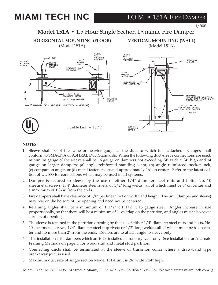# **MIAMI TECH INC MIAMI TECH INC MIAMI TECH INC**

1/2003

## **Model 151A •** 1.5 Hour Single Section Dynamic Fire Damper



#### **NOTES:**

- 1. Sleeve shall be of the same or heavier gauge as the duct to which it is attached. Gauges shall conform to SMACNA or ASHRAE Duct Standards. When the following duct-sleeve connections are used, minimum gauge of the sleeve shall be 16 gauge on dampers not exceeding 24" wide x 24" high and 14 gauge on larger dampers: (a) angle reinforced standing seam, (b) angle reinforced pocket lock, (c) companion angle, or (d) metal fasteners spaced approximately 16" on center. Refer to the latest edition of UL 555 for connections which may be used in all systems.
- 2. Damper is secured to sleeve by the use of either 1/4" diameter steel nuts and bolts, No. 10 sheetmetal screws,  $1/4$ " diameter steel rivets, or  $1/2$ " long welds...all of which must be 6" on center and a maximum of 1 3/4" from the ends.
- 3. Fire dampers shall have clearance of  $1/8$ " per linear foot on width and height. The unit (damper and sleeve) may rest on the bottom of the opening and need not be centered.
- 4. Retaining angles shall be a minimum of  $1 \frac{1}{2}$  x  $1 \frac{1}{2}$  x 16 gauge steel. Angles increase in size proportionally, so that there will be a minimum of 1" overlap on the partition, and angles must also cover corners of opening.
- 5. The sleeve is retained in the partition opening by the use of either 1/4" diameter steel nuts and bolts, No. 10 sheetmetal screws, 1/4" diameter steel pop rivets or 1/2" long welds...all of which must be 6" on center and no more than 2" from the ends. Devices are to attach angle to sleeve only.
- 6. This installation is for dampers which are to be installed in masonry walls only. See Installation for Alternate Framing Methods on page 5, for wood stud and metal stud partition.
- 7. Connecting ducts shall be terminated at the sleeve or transition collar where a draw-band type breakaway joint is used.
- 8. Maximum duct size of single section Model 151A unit is 24" wide x 24" high.

Miami Tech Inc. 3611 N.W. 74 Street • Miami, FL 33147 • 305-693-7054 • 305-693-6152 fax • www.miamitech.com 3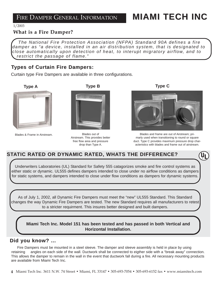## FIRE DAMPER GENERAL INFORMATION **MIAMI TECH INC MIAMI TECH INC**

1/2003

#### **What is a Fire Damper? What is a Fire Damper?**

*The National Fire Protection Association (NFPA) Standard 90A defines a fire damper as "a device, installed in an air distribution system, that is designated to close automatically upon detection of heat, to interupt migratory airflow, and to restrict the passage of flame."*

### **Types of Curtain Fire Dampers:**

Curtain type Fire Dampers are available in three configurations.



Blades & Frame in Airstream. The state of the Blades out of

**Type A Type B Type C**



Airstream. This provides better free flow area and pressure drop than Type A.



Blades and frame are out of Airstream; primarly used when transitioning to round or square duct. Type C provides maximum pressure drop characteristics with blades and frame out of airstream.

### **STATIC RATED OR DYNAMIC RATED, WHATS THE DIFFERENCE?**

Underwriters Laboratories (UL) Standard for Safety 555 catagorizes smoke and fire control systems as either static or dynamic. UL555 defines dampers intended to close under no airflow conditions as dampers for static systems, and dampers intended to close under flow conditions as dampers for dynamic systems.

As of July 1, 2002, all Dynamic Fire Dampers must meet the "new" UL555 Standard. This Standard changes the way Dynamic Fire Dampers are tested. The new Standard requires all manufacturers to retest to a stricter requirment. This insures better designed and built dampers.

**Miami Tech Inc. Model 151 has been tested and has passed in both Vertical and Horizontal Installation.**

#### **Did you know? ... Did you know? ...**

Fire Dampers must be mounted in a steel sleeve. The damper and sleeve assembly is held in place by using retaining angles on each side of the wall. Ductwork shall be connected to eigther side with a "break away" connection. This allows the damper to remain in the wall in the event that ductwork fall during a fire. All necessary mounting products are available from Miami Tech Inc.

**4** Miami Tech Inc. 3611 N.W. 74 Street • Miami, FL 33147 • 305-693-7054 • 305-693-6152 fax • www.miamitech.com